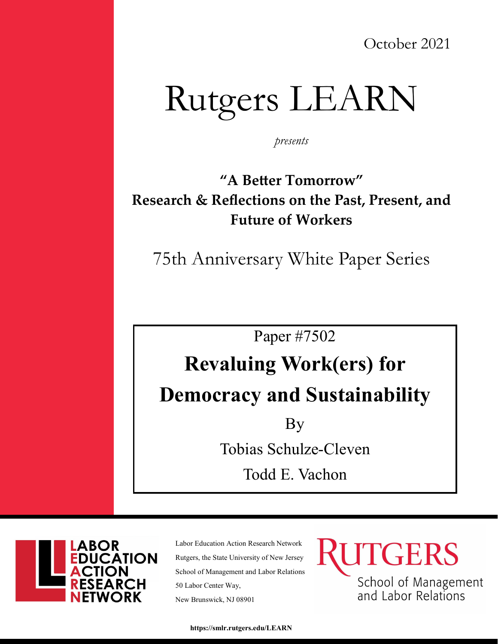# Rutgers LEARN

*presents*

## **"A Better Tomorrow" Research & Reflections on the Past, Present, and Future of Workers**

75th Anniversary White Paper Series

Paper #7502

# **Revaluing Work(ers) for**

## **Democracy and Sustainability**

By

Tobias Schulze-Cleven

Todd E. Vachon



Labor Education Action Research Network Rutgers, the State University of New Jersey School of Management and Labor Relations 50 Labor Center Way, New Brunswick, NJ 08901

TGERS School of Management and Labor Relations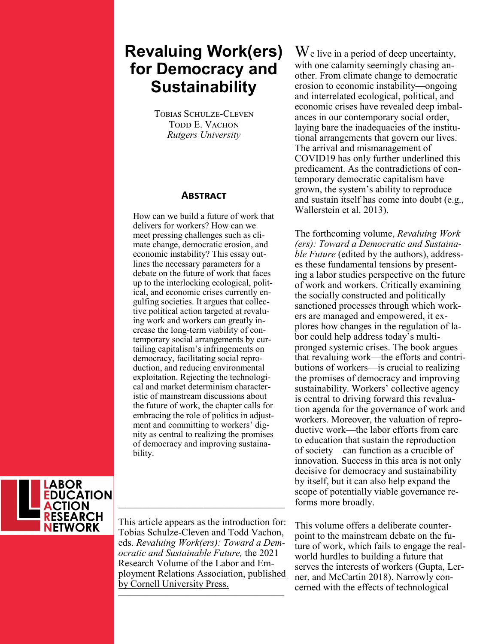### **Revaluing Work(ers) for Democracy and Sustainability**

Tobias Schulze-Cleven TODD E. VACHON *Rutgers University*

#### **Abstract**

How can we build a future of work that delivers for workers? How can we meet pressing challenges such as climate change, democratic erosion, and economic instability? This essay outlines the necessary parameters for a debate on the future of work that faces up to the interlocking ecological, political, and economic crises currently engulfing societies. It argues that collective political action targeted at revaluing work and workers can greatly increase the long-term viability of contemporary social arrangements by curtailing capitalism's infringements on democracy, facilitating social reproduction, and reducing environmental exploitation. Rejecting the technological and market determinism characteristic of mainstream discussions about the future of work, the chapter calls for embracing the role of politics in adjustment and committing to workers' dignity as central to realizing the promises of democracy and improving sustainability.

LABOR **EDUCATION** ACTION RESEARCH **NETWORK** 

This article appears as the introduction for: Tobias Schulze-Cleven and Todd Vachon, eds. *Revaluing Work(ers): Toward a Democratic and Sustainable Future,* the 2021 Research Volume of the Labor and Employment Relations Association, [published](https://www.cornellpress.cornell.edu/book/9780913447222/revaluing-workers/#bookTabs=1)  [by Cornell University Press.](https://www.cornellpress.cornell.edu/book/9780913447222/revaluing-workers/#bookTabs=1)

 $\frac{1}{\sqrt{2}}$  , and the contract of  $\frac{1}{\sqrt{2}}$  , and  $\frac{1}{\sqrt{2}}$  , and  $\frac{1}{\sqrt{2}}$  , and  $\frac{1}{\sqrt{2}}$  , and  $\frac{1}{\sqrt{2}}$ 

**\_\_\_\_\_\_\_\_\_\_\_\_\_\_\_\_\_\_\_\_\_\_\_\_\_\_\_\_\_\_\_\_\_\_\_\_\_\_\_\_\_**

 $W_e$  live in a period of deep uncertainty, with one calamity seemingly chasing another. From climate change to democratic erosion to economic instability—ongoing and interrelated ecological, political, and economic crises have revealed deep imbalances in our contemporary social order, laying bare the inadequacies of the institutional arrangements that govern our lives. The arrival and mismanagement of COVID19 has only further underlined this predicament. As the contradictions of contemporary democratic capitalism have grown, the system's ability to reproduce and sustain itself has come into doubt (e.g., Wallerstein et al. 2013).

The forthcoming volume, *Revaluing Work (ers): Toward a Democratic and Sustainable Future* (edited by the authors), addresses these fundamental tensions by presenting a labor studies perspective on the future of work and workers. Critically examining the socially constructed and politically sanctioned processes through which workers are managed and empowered, it explores how changes in the regulation of labor could help address today's multipronged systemic crises. The book argues that revaluing work—the efforts and contributions of workers—is crucial to realizing the promises of democracy and improving sustainability. Workers' collective agency is central to driving forward this revaluation agenda for the governance of work and workers. Moreover, the valuation of reproductive work—the labor efforts from care to education that sustain the reproduction of society—can function as a crucible of innovation. Success in this area is not only decisive for democracy and sustainability by itself, but it can also help expand the scope of potentially viable governance reforms more broadly.

This volume offers a deliberate counterpoint to the mainstream debate on the future of work, which fails to engage the realworld hurdles to building a future that serves the interests of workers (Gupta, Lerner, and McCartin 2018). Narrowly concerned with the effects of technological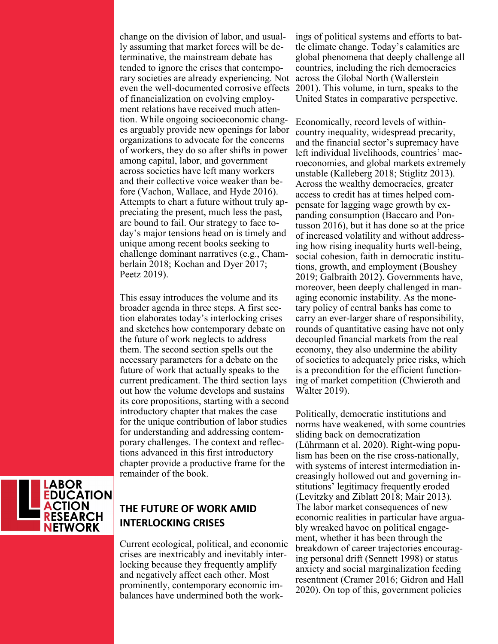change on the division of labor, and usually assuming that market forces will be determinative, the mainstream debate has tended to ignore the crises that contemporary societies are already experiencing. Not across the Global North (Wallerstein even the well-documented corrosive effects of financialization on evolving employment relations have received much attention. While ongoing socioeconomic changes arguably provide new openings for labor organizations to advocate for the concerns of workers, they do so after shifts in power among capital, labor, and government across societies have left many workers and their collective voice weaker than before (Vachon, Wallace, and Hyde 2016). Attempts to chart a future without truly appreciating the present, much less the past, are bound to fail. Our strategy to face today's major tensions head on is timely and unique among recent books seeking to challenge dominant narratives (e.g., Chamberlain 2018; Kochan and Dyer 2017; Peetz 2019).

This essay introduces the volume and its broader agenda in three steps. A first section elaborates today's interlocking crises and sketches how contemporary debate on the future of work neglects to address them. The second section spells out the necessary parameters for a debate on the future of work that actually speaks to the current predicament. The third section lays out how the volume develops and sustains its core propositions, starting with a second introductory chapter that makes the case for the unique contribution of labor studies for understanding and addressing contemporary challenges. The context and reflections advanced in this first introductory chapter provide a productive frame for the remainder of the book.



#### **THE FUTURE OF WORK AMID INTERLOCKING CRISES**

Current ecological, political, and economic crises are inextricably and inevitably interlocking because they frequently amplify and negatively affect each other. Most prominently, contemporary economic imbalances have undermined both the work-

ings of political systems and efforts to battle climate change. Today's calamities are global phenomena that deeply challenge all countries, including the rich democracies 2001). This volume, in turn, speaks to the United States in comparative perspective.

Economically, record levels of withincountry inequality, widespread precarity, and the financial sector's supremacy have left individual livelihoods, countries' macroeconomies, and global markets extremely unstable (Kalleberg 2018; Stiglitz 2013). Across the wealthy democracies, greater access to credit has at times helped compensate for lagging wage growth by expanding consumption (Baccaro and Pontusson 2016), but it has done so at the price of increased volatility and without addressing how rising inequality hurts well-being, social cohesion, faith in democratic institutions, growth, and employment (Boushey 2019; Galbraith 2012). Governments have, moreover, been deeply challenged in managing economic instability. As the monetary policy of central banks has come to carry an ever-larger share of responsibility, rounds of quantitative easing have not only decoupled financial markets from the real economy, they also undermine the ability of societies to adequately price risks, which is a precondition for the efficient functioning of market competition (Chwieroth and Walter 2019).

Politically, democratic institutions and norms have weakened, with some countries sliding back on democratization (Lührmann et al. 2020). Right-wing populism has been on the rise cross-nationally, with systems of interest intermediation increasingly hollowed out and governing institutions' legitimacy frequently eroded (Levitzky and Ziblatt 2018; Mair 2013). The labor market consequences of new economic realities in particular have arguably wreaked havoc on political engagement, whether it has been through the breakdown of career trajectories encouraging personal drift (Sennett 1998) or status anxiety and social marginalization feeding resentment (Cramer 2016; Gidron and Hall 2020). On top of this, government policies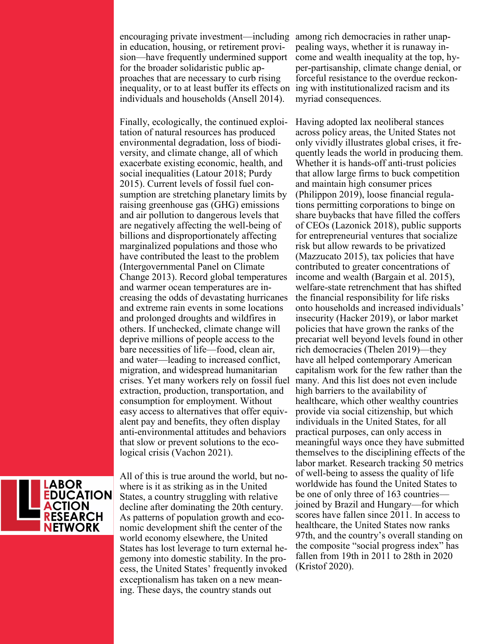encouraging private investment—including in education, housing, or retirement provision—have frequently undermined support for the broader solidaristic public approaches that are necessary to curb rising inequality, or to at least buffer its effects on ing with institutionalized racism and its individuals and households (Ansell 2014).

Finally, ecologically, the continued exploitation of natural resources has produced environmental degradation, loss of biodiversity, and climate change, all of which exacerbate existing economic, health, and social inequalities (Latour 2018; Purdy 2015). Current levels of fossil fuel consumption are stretching planetary limits by raising greenhouse gas (GHG) emissions and air pollution to dangerous levels that are negatively affecting the well-being of billions and disproportionately affecting marginalized populations and those who have contributed the least to the problem (Intergovernmental Panel on Climate Change 2013). Record global temperatures and warmer ocean temperatures are increasing the odds of devastating hurricanes and extreme rain events in some locations and prolonged droughts and wildfires in others. If unchecked, climate change will deprive millions of people access to the bare necessities of life—food, clean air, and water—leading to increased conflict, migration, and widespread humanitarian crises. Yet many workers rely on fossil fuel extraction, production, transportation, and consumption for employment. Without easy access to alternatives that offer equivalent pay and benefits, they often display anti-environmental attitudes and behaviors that slow or prevent solutions to the ecological crisis (Vachon 2021).



All of this is true around the world, but nowhere is it as striking as in the United States, a country struggling with relative decline after dominating the 20th century. As patterns of population growth and economic development shift the center of the world economy elsewhere, the United States has lost leverage to turn external hegemony into domestic stability. In the process, the United States' frequently invoked exceptionalism has taken on a new meaning. These days, the country stands out

among rich democracies in rather unappealing ways, whether it is runaway income and wealth inequality at the top, hyper-partisanship, climate change denial, or forceful resistance to the overdue reckonmyriad consequences.

Having adopted lax neoliberal stances across policy areas, the United States not only vividly illustrates global crises, it frequently leads the world in producing them. Whether it is hands-off anti-trust policies that allow large firms to buck competition and maintain high consumer prices (Philippon 2019), loose financial regulations permitting corporations to binge on share buybacks that have filled the coffers of CEOs (Lazonick 2018), public supports for entrepreneurial ventures that socialize risk but allow rewards to be privatized (Mazzucato 2015), tax policies that have contributed to greater concentrations of income and wealth (Bargain et al. 2015), welfare-state retrenchment that has shifted the financial responsibility for life risks onto households and increased individuals' insecurity (Hacker 2019), or labor market policies that have grown the ranks of the precariat well beyond levels found in other rich democracies (Thelen 2019)—they have all helped contemporary American capitalism work for the few rather than the many. And this list does not even include high barriers to the availability of healthcare, which other wealthy countries provide via social citizenship, but which individuals in the United States, for all practical purposes, can only access in meaningful ways once they have submitted themselves to the disciplining effects of the labor market. Research tracking 50 metrics of well-being to assess the quality of life worldwide has found the United States to be one of only three of 163 countries joined by Brazil and Hungary—for which scores have fallen since 2011. In access to healthcare, the United States now ranks 97th, and the country's overall standing on the composite "social progress index" has fallen from 19th in 2011 to 28th in 2020 (Kristof 2020).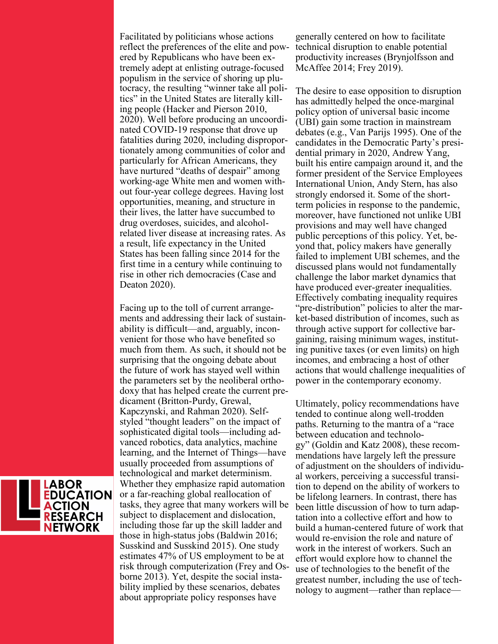Facilitated by politicians whose actions reflect the preferences of the elite and powered by Republicans who have been extremely adept at enlisting outrage-focused populism in the service of shoring up plutocracy, the resulting "winner take all politics" in the United States are literally killing people (Hacker and Pierson 2010, 2020). Well before producing an uncoordinated COVID-19 response that drove up fatalities during 2020, including disproportionately among communities of color and particularly for African Americans, they have nurtured "deaths of despair" among working-age White men and women without four-year college degrees. Having lost opportunities, meaning, and structure in their lives, the latter have succumbed to drug overdoses, suicides, and alcoholrelated liver disease at increasing rates. As a result, life expectancy in the United States has been falling since 2014 for the first time in a century while continuing to rise in other rich democracies (Case and Deaton 2020).

Facing up to the toll of current arrangements and addressing their lack of sustainability is difficult—and, arguably, inconvenient for those who have benefited so much from them. As such, it should not be surprising that the ongoing debate about the future of work has stayed well within the parameters set by the neoliberal orthodoxy that has helped create the current predicament (Britton-Purdy, Grewal, Kapczynski, and Rahman 2020). Selfstyled "thought leaders" on the impact of sophisticated digital tools—including advanced robotics, data analytics, machine learning, and the Internet of Things—have usually proceeded from assumptions of technological and market determinism. Whether they emphasize rapid automation or a far-reaching global reallocation of tasks, they agree that many workers will be subject to displacement and dislocation, including those far up the skill ladder and those in high-status jobs (Baldwin 2016; Susskind and Susskind 2015). One study estimates 47% of US employment to be at risk through computerization (Frey and Osborne 2013). Yet, despite the social instability implied by these scenarios, debates about appropriate policy responses have

generally centered on how to facilitate technical disruption to enable potential productivity increases (Brynjolfsson and McAffee 2014; Frey 2019).

The desire to ease opposition to disruption has admittedly helped the once-marginal policy option of universal basic income (UBI) gain some traction in mainstream debates (e.g., Van Parijs 1995). One of the candidates in the Democratic Party's presidential primary in 2020, Andrew Yang, built his entire campaign around it, and the former president of the Service Employees International Union, Andy Stern, has also strongly endorsed it. Some of the shortterm policies in response to the pandemic, moreover, have functioned not unlike UBI provisions and may well have changed public perceptions of this policy. Yet, beyond that, policy makers have generally failed to implement UBI schemes, and the discussed plans would not fundamentally challenge the labor market dynamics that have produced ever-greater inequalities. Effectively combating inequality requires "pre-distribution" policies to alter the market-based distribution of incomes, such as through active support for collective bargaining, raising minimum wages, instituting punitive taxes (or even limits) on high incomes, and embracing a host of other actions that would challenge inequalities of power in the contemporary economy.

Ultimately, policy recommendations have tended to continue along well-trodden paths. Returning to the mantra of a "race between education and technology" (Goldin and Katz 2008), these recommendations have largely left the pressure of adjustment on the shoulders of individual workers, perceiving a successful transition to depend on the ability of workers to be lifelong learners. In contrast, there has been little discussion of how to turn adaptation into a collective effort and how to build a human-centered future of work that would re-envision the role and nature of work in the interest of workers. Such an effort would explore how to channel the use of technologies to the benefit of the greatest number, including the use of technology to augment—rather than replace—

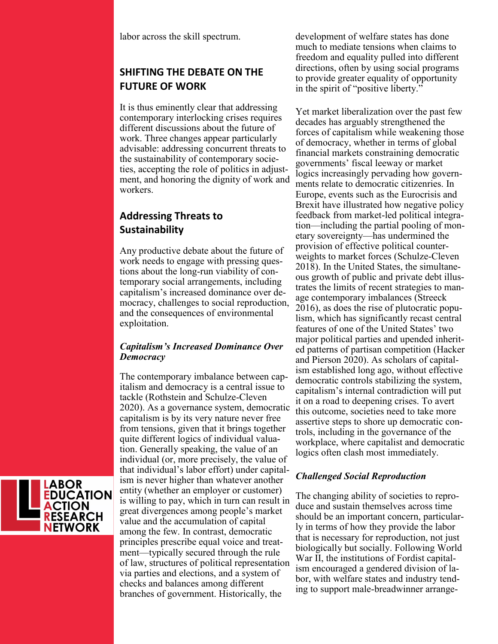labor across the skill spectrum.

#### **SHIFTING THE DEBATE ON THE FUTURE OF WORK**

It is thus eminently clear that addressing contemporary interlocking crises requires different discussions about the future of work. Three changes appear particularly advisable: addressing concurrent threats to the sustainability of contemporary societies, accepting the role of politics in adjustment, and honoring the dignity of work and workers.

#### **Addressing Threats to Sustainability**

Any productive debate about the future of work needs to engage with pressing questions about the long-run viability of contemporary social arrangements, including capitalism's increased dominance over democracy, challenges to social reproduction, and the consequences of environmental exploitation.

#### *Capitalism's Increased Dominance Over Democracy*

The contemporary imbalance between capitalism and democracy is a central issue to tackle (Rothstein and Schulze-Cleven 2020). As a governance system, democratic capitalism is by its very nature never free from tensions, given that it brings together quite different logics of individual valuation. Generally speaking, the value of an individual (or, more precisely, the value of that individual's labor effort) under capitalism is never higher than whatever another entity (whether an employer or customer) is willing to pay, which in turn can result in great divergences among people's market value and the accumulation of capital among the few. In contrast, democratic principles prescribe equal voice and treatment—typically secured through the rule of law, structures of political representation via parties and elections, and a system of checks and balances among different branches of government. Historically, the

development of welfare states has done much to mediate tensions when claims to freedom and equality pulled into different directions, often by using social programs to provide greater equality of opportunity in the spirit of "positive liberty."

Yet market liberalization over the past few decades has arguably strengthened the forces of capitalism while weakening those of democracy, whether in terms of global financial markets constraining democratic governments' fiscal leeway or market logics increasingly pervading how governments relate to democratic citizenries. In Europe, events such as the Eurocrisis and Brexit have illustrated how negative policy feedback from market-led political integration—including the partial pooling of monetary sovereignty—has undermined the provision of effective political counterweights to market forces (Schulze-Cleven 2018). In the United States, the simultaneous growth of public and private debt illustrates the limits of recent strategies to manage contemporary imbalances (Streeck 2016), as does the rise of plutocratic populism, which has significantly recast central features of one of the United States' two major political parties and upended inherited patterns of partisan competition (Hacker and Pierson 2020). As scholars of capitalism established long ago, without effective democratic controls stabilizing the system, capitalism's internal contradiction will put it on a road to deepening crises. To avert this outcome, societies need to take more assertive steps to shore up democratic controls, including in the governance of the workplace, where capitalist and democratic logics often clash most immediately.

#### *Challenged Social Reproduction*

The changing ability of societies to reproduce and sustain themselves across time should be an important concern, particularly in terms of how they provide the labor that is necessary for reproduction, not just biologically but socially. Following World War II, the institutions of Fordist capitalism encouraged a gendered division of labor, with welfare states and industry tending to support male-breadwinner arrange-

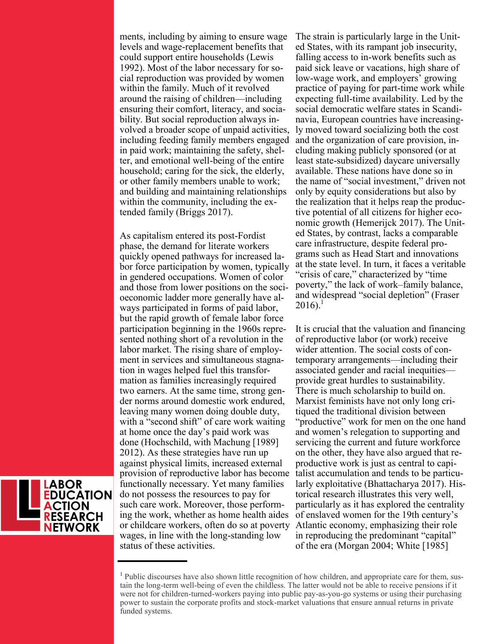ments, including by aiming to ensure wage levels and wage-replacement benefits that could support entire households (Lewis 1992). Most of the labor necessary for social reproduction was provided by women within the family. Much of it revolved around the raising of children—including ensuring their comfort, literacy, and sociability. But social reproduction always involved a broader scope of unpaid activities, including feeding family members engaged in paid work; maintaining the safety, shelter, and emotional well-being of the entire household; caring for the sick, the elderly, or other family members unable to work; and building and maintaining relationships within the community, including the extended family (Briggs 2017).

As capitalism entered its post-Fordist phase, the demand for literate workers quickly opened pathways for increased labor force participation by women, typically in gendered occupations. Women of color and those from lower positions on the socioeconomic ladder more generally have always participated in forms of paid labor, but the rapid growth of female labor force participation beginning in the 1960s represented nothing short of a revolution in the labor market. The rising share of employment in services and simultaneous stagnation in wages helped fuel this transformation as families increasingly required two earners. At the same time, strong gender norms around domestic work endured, leaving many women doing double duty, with a "second shift" of care work waiting at home once the day's paid work was done (Hochschild, with Machung [1989] 2012). As these strategies have run up against physical limits, increased external provision of reproductive labor has become functionally necessary. Yet many families do not possess the resources to pay for such care work. Moreover, those performing the work, whether as home health aides or childcare workers, often do so at poverty wages, in line with the long-standing low status of these activities.



The strain is particularly large in the United States, with its rampant job insecurity, falling access to in-work benefits such as paid sick leave or vacations, high share of low-wage work, and employers' growing practice of paying for part-time work while expecting full-time availability. Led by the social democratic welfare states in Scandinavia, European countries have increasingly moved toward socializing both the cost and the organization of care provision, including making publicly sponsored (or at least state-subsidized) daycare universally available. These nations have done so in the name of "social investment," driven not only by equity considerations but also by the realization that it helps reap the productive potential of all citizens for higher economic growth (Hemerijck 2017). The United States, by contrast, lacks a comparable care infrastructure, despite federal programs such as Head Start and innovations at the state level. In turn, it faces a veritable "crisis of care," characterized by "time poverty," the lack of work–family balance, and widespread "social depletion" (Fraser  $2016$ ).<sup>1</sup>

It is crucial that the valuation and financing of reproductive labor (or work) receive wider attention. The social costs of contemporary arrangements—including their associated gender and racial inequities provide great hurdles to sustainability. There is much scholarship to build on. Marxist feminists have not only long critiqued the traditional division between "productive" work for men on the one hand and women's relegation to supporting and servicing the current and future workforce on the other, they have also argued that reproductive work is just as central to capitalist accumulation and tends to be particularly exploitative (Bhattacharya 2017). Historical research illustrates this very well, particularly as it has explored the centrality of enslaved women for the 19th century's Atlantic economy, emphasizing their role in reproducing the predominant "capital" of the era (Morgan 2004; White [1985]

<sup>&</sup>lt;sup>1</sup> Public discourses have also shown little recognition of how children, and appropriate care for them, sustain the long-term well-being of even the childless. The latter would not be able to receive pensions if it were not for children-turned-workers paying into public pay-as-you-go systems or using their purchasing power to sustain the corporate profits and stock-market valuations that ensure annual returns in private funded systems.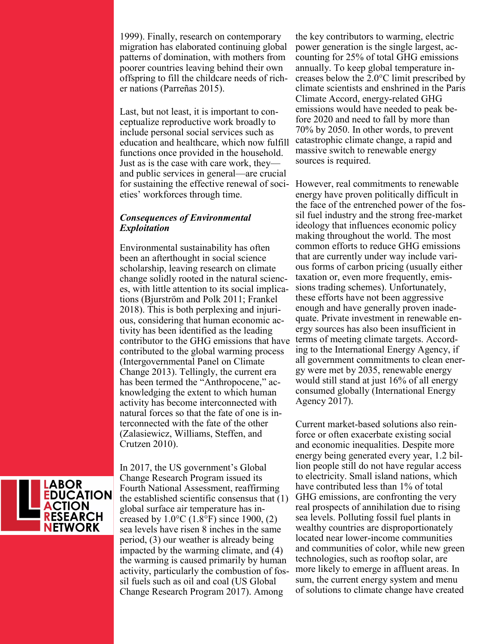1999). Finally, research on contemporary migration has elaborated continuing global patterns of domination, with mothers from poorer countries leaving behind their own offspring to fill the childcare needs of richer nations (Parreñas 2015).

Last, but not least, it is important to conceptualize reproductive work broadly to include personal social services such as education and healthcare, which now fulfill functions once provided in the household. Just as is the case with care work, they and public services in general—are crucial for sustaining the effective renewal of soci-However, real commitments to renewable eties' workforces through time.

#### *Consequences of Environmental Exploitation*

Environmental sustainability has often been an afterthought in social science scholarship, leaving research on climate change solidly rooted in the natural sciences, with little attention to its social implications (Bjurström and Polk 2011; Frankel 2018). This is both perplexing and injurious, considering that human economic activity has been identified as the leading contributor to the GHG emissions that have contributed to the global warming process (Intergovernmental Panel on Climate Change 2013). Tellingly, the current era has been termed the "Anthropocene," acknowledging the extent to which human activity has become interconnected with natural forces so that the fate of one is interconnected with the fate of the other (Zalasiewicz, Williams, Steffen, and Crutzen 2010).

LABOR **EDUCATION** ACTION RESEARCH **NETWORK** 

In 2017, the US government's Global Change Research Program issued its Fourth National Assessment, reaffirming the established scientific consensus that (1) global surface air temperature has increased by  $1.0^{\circ}$ C (1.8°F) since 1900, (2) sea levels have risen 8 inches in the same period, (3) our weather is already being impacted by the warming climate, and (4) the warming is caused primarily by human activity, particularly the combustion of fossil fuels such as oil and coal (US Global Change Research Program 2017). Among

the key contributors to warming, electric power generation is the single largest, accounting for 25% of total GHG emissions annually. To keep global temperature increases below the 2.0°C limit prescribed by climate scientists and enshrined in the Paris Climate Accord, energy-related GHG emissions would have needed to peak before 2020 and need to fall by more than 70% by 2050. In other words, to prevent catastrophic climate change, a rapid and massive switch to renewable energy sources is required.

energy have proven politically difficult in the face of the entrenched power of the fossil fuel industry and the strong free-market ideology that influences economic policy making throughout the world. The most common efforts to reduce GHG emissions that are currently under way include various forms of carbon pricing (usually either taxation or, even more frequently, emissions trading schemes). Unfortunately, these efforts have not been aggressive enough and have generally proven inadequate. Private investment in renewable energy sources has also been insufficient in terms of meeting climate targets. According to the International Energy Agency, if all government commitments to clean energy were met by 2035, renewable energy would still stand at just 16% of all energy consumed globally (International Energy Agency 2017).

Current market-based solutions also reinforce or often exacerbate existing social and economic inequalities. Despite more energy being generated every year, 1.2 billion people still do not have regular access to electricity. Small island nations, which have contributed less than 1% of total GHG emissions, are confronting the very real prospects of annihilation due to rising sea levels. Polluting fossil fuel plants in wealthy countries are disproportionately located near lower-income communities and communities of color, while new green technologies, such as rooftop solar, are more likely to emerge in affluent areas. In sum, the current energy system and menu of solutions to climate change have created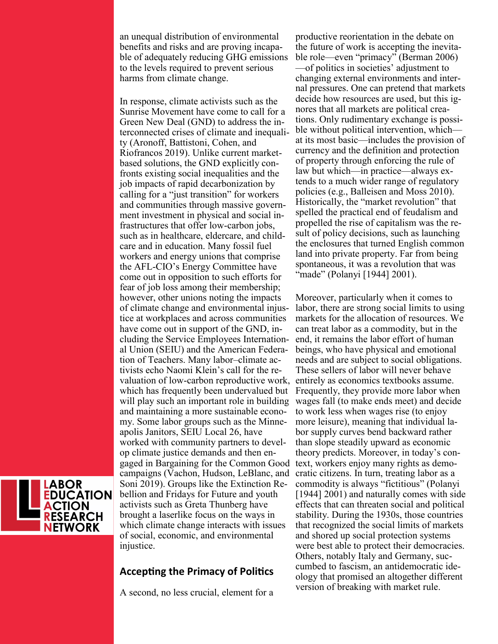an unequal distribution of environmental benefits and risks and are proving incapable of adequately reducing GHG emissions to the levels required to prevent serious harms from climate change.

In response, climate activists such as the Sunrise Movement have come to call for a Green New Deal (GND) to address the interconnected crises of climate and inequality (Aronoff, Battistoni, Cohen, and Riofrancos 2019). Unlike current marketbased solutions, the GND explicitly confronts existing social inequalities and the job impacts of rapid decarbonization by calling for a "just transition" for workers and communities through massive government investment in physical and social infrastructures that offer low-carbon jobs, such as in healthcare, eldercare, and childcare and in education. Many fossil fuel workers and energy unions that comprise the AFL-CIO's Energy Committee have come out in opposition to such efforts for fear of job loss among their membership; however, other unions noting the impacts of climate change and environmental injustice at workplaces and across communities have come out in support of the GND, including the Service Employees International Union (SEIU) and the American Federation of Teachers. Many labor–climate activists echo Naomi Klein's call for the revaluation of low-carbon reproductive work, which has frequently been undervalued but will play such an important role in building and maintaining a more sustainable economy. Some labor groups such as the Minneapolis Janitors, SEIU Local 26, have worked with community partners to develop climate justice demands and then engaged in Bargaining for the Common Good text, workers enjoy many rights as democampaigns (Vachon, Hudson, LeBlanc, and Soni 2019). Groups like the Extinction Rebellion and Fridays for Future and youth activists such as Greta Thunberg have brought a laserlike focus on the ways in which climate change interacts with issues of social, economic, and environmental injustice.



#### **Accepting the Primacy of Politics**

A second, no less crucial, element for a

productive reorientation in the debate on the future of work is accepting the inevitable role—even "primacy" (Berman 2006) —of politics in societies' adjustment to changing external environments and internal pressures. One can pretend that markets decide how resources are used, but this ignores that all markets are political creations. Only rudimentary exchange is possible without political intervention, which at its most basic—includes the provision of currency and the definition and protection of property through enforcing the rule of law but which—in practice—always extends to a much wider range of regulatory policies (e.g., Balleisen and Moss 2010). Historically, the "market revolution" that spelled the practical end of feudalism and propelled the rise of capitalism was the result of policy decisions, such as launching the enclosures that turned English common land into private property. Far from being spontaneous, it was a revolution that was "made" (Polanyi [1944] 2001).

Moreover, particularly when it comes to labor, there are strong social limits to using markets for the allocation of resources. We can treat labor as a commodity, but in the end, it remains the labor effort of human beings, who have physical and emotional needs and are subject to social obligations. These sellers of labor will never behave entirely as economics textbooks assume. Frequently, they provide more labor when wages fall (to make ends meet) and decide to work less when wages rise (to enjoy more leisure), meaning that individual labor supply curves bend backward rather than slope steadily upward as economic theory predicts. Moreover, in today's concratic citizens. In turn, treating labor as a commodity is always "fictitious" (Polanyi [1944] 2001) and naturally comes with side effects that can threaten social and political stability. During the 1930s, those countries that recognized the social limits of markets and shored up social protection systems were best able to protect their democracies. Others, notably Italy and Germany, succumbed to fascism, an antidemocratic ideology that promised an altogether different version of breaking with market rule.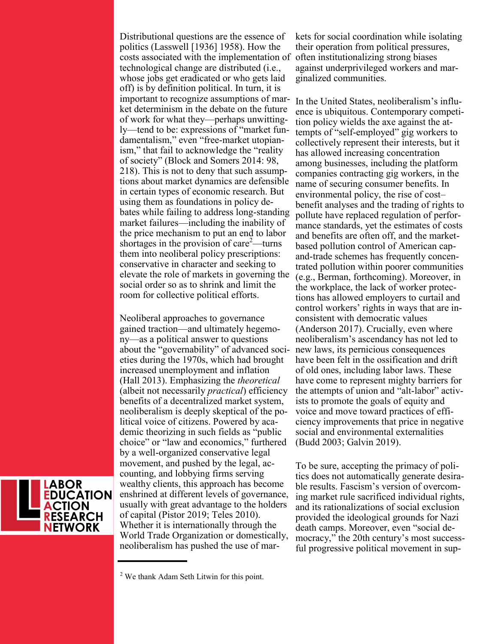Distributional questions are the essence of politics (Lasswell [1936] 1958). How the costs associated with the implementation of often institutionalizing strong biases technological change are distributed (i.e., whose jobs get eradicated or who gets laid off) is by definition political. In turn, it is important to recognize assumptions of market determinism in the debate on the future of work for what they—perhaps unwittingly—tend to be: expressions of "market fundamentalism," even "free-market utopianism," that fail to acknowledge the "reality of society" (Block and Somers 2014: 98, 218). This is not to deny that such assumptions about market dynamics are defensible in certain types of economic research. But using them as foundations in policy debates while failing to address long-standing market failures—including the inability of the price mechanism to put an end to labor shortages in the provision of care $\text{-}$ turns them into neoliberal policy prescriptions: conservative in character and seeking to elevate the role of markets in governing the social order so as to shrink and limit the room for collective political efforts.

Neoliberal approaches to governance gained traction—and ultimately hegemony—as a political answer to questions about the "governability" of advanced societies during the 1970s, which had brought increased unemployment and inflation (Hall 2013). Emphasizing the *theoretical*  (albeit not necessarily *practical*) efficiency benefits of a decentralized market system, neoliberalism is deeply skeptical of the political voice of citizens. Powered by academic theorizing in such fields as "public choice" or "law and economics," furthered by a well-organized conservative legal movement, and pushed by the legal, accounting, and lobbying firms serving wealthy clients, this approach has become enshrined at different levels of governance, usually with great advantage to the holders of capital (Pistor 2019; Teles 2010). Whether it is internationally through the World Trade Organization or domestically, neoliberalism has pushed the use of mar-



kets for social coordination while isolating their operation from political pressures, against underprivileged workers and marginalized communities.

In the United States, neoliberalism's influence is ubiquitous. Contemporary competition policy wields the axe against the attempts of "self-employed" gig workers to collectively represent their interests, but it has allowed increasing concentration among businesses, including the platform companies contracting gig workers, in the name of securing consumer benefits. In environmental policy, the rise of cost– benefit analyses and the trading of rights to pollute have replaced regulation of performance standards, yet the estimates of costs and benefits are often off, and the marketbased pollution control of American capand-trade schemes has frequently concentrated pollution within poorer communities (e.g., Berman, forthcoming). Moreover, in the workplace, the lack of worker protections has allowed employers to curtail and control workers' rights in ways that are inconsistent with democratic values (Anderson 2017). Crucially, even where neoliberalism's ascendancy has not led to new laws, its pernicious consequences have been felt in the ossification and drift of old ones, including labor laws. These have come to represent mighty barriers for the attempts of union and "alt-labor" activists to promote the goals of equity and voice and move toward practices of efficiency improvements that price in negative social and environmental externalities (Budd 2003; Galvin 2019).

To be sure, accepting the primacy of politics does not automatically generate desirable results. Fascism's version of overcoming market rule sacrificed individual rights, and its rationalizations of social exclusion provided the ideological grounds for Nazi death camps. Moreover, even "social democracy," the 20th century's most successful progressive political movement in sup-

 $2$  We thank Adam Seth Litwin for this point.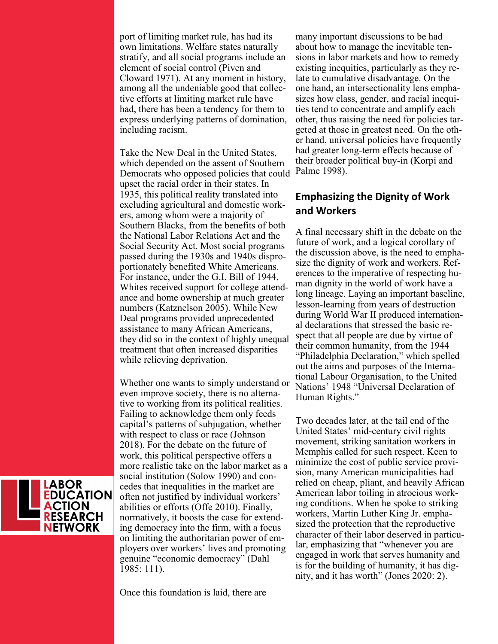port of limiting market rule, has had its own limitations. Welfare states naturally stratify, and all social programs include an element of social control (Piven and Cloward 1971). At any moment in history, among all the undeniable good that collective efforts at limiting market rule have had, there has been a tendency for them to express underlying patterns of domination, including racism.

Take the New Deal in the United States, which depended on the assent of Southern Democrats who opposed policies that could upset the racial order in their states. In 1935, this political reality translated into excluding agricultural and domestic workers, among whom were a majority of Southern Blacks, from the benefits of both the National Labor Relations Act and the Social Security Act. Most social programs passed during the 1930s and 1940s disproportionately benefited White Americans. For instance, under the G.I. Bill of 1944, Whites received support for college attendance and home ownership at much greater numbers (Katznelson 2005). While New Deal programs provided unprecedented assistance to many African Americans, they did so in the context of highly unequal treatment that often increased disparities while relieving deprivation.

Whether one wants to simply understand or even improve society, there is no alternative to working from its political realities. Failing to acknowledge them only feeds capital's patterns of subjugation, whether with respect to class or race (Johnson 2018). For the debate on the future of work, this political perspective offers a more realistic take on the labor market as a social institution (Solow 1990) and concedes that inequalities in the market are often not justified by individual workers' abilities or efforts (Offe 2010). Finally, normatively, it boosts the case for extending democracy into the firm, with a focus on limiting the authoritarian power of employers over workers' lives and promoting genuine "economic democracy" (Dahl 1985: 111).

LABOR **EDUCATION** ACTION RESEARCH **NETWORK** 

Once this foundation is laid, there are

many important discussions to be had about how to manage the inevitable tensions in labor markets and how to remedy existing inequities, particularly as they relate to cumulative disadvantage. On the one hand, an intersectionality lens emphasizes how class, gender, and racial inequities tend to concentrate and amplify each other, thus raising the need for policies targeted at those in greatest need. On the other hand, universal policies have frequently had greater long-term effects because of their broader political buy-in (Korpi and Palme 1998).

#### **Emphasizing the Dignity of Work and Workers**

A final necessary shift in the debate on the future of work, and a logical corollary of the discussion above, is the need to emphasize the dignity of work and workers. References to the imperative of respecting human dignity in the world of work have a long lineage. Laying an important baseline, lesson-learning from years of destruction during World War II produced international declarations that stressed the basic respect that all people are due by virtue of their common humanity, from the 1944 "Philadelphia Declaration," which spelled out the aims and purposes of the International Labour Organisation, to the United Nations' 1948 "Universal Declaration of Human Rights."

Two decades later, at the tail end of the United States' mid-century civil rights movement, striking sanitation workers in Memphis called for such respect. Keen to minimize the cost of public service provision, many American municipalities had relied on cheap, pliant, and heavily African American labor toiling in atrocious working conditions. When he spoke to striking workers, Martin Luther King Jr. emphasized the protection that the reproductive character of their labor deserved in particular, emphasizing that "whenever you are engaged in work that serves humanity and is for the building of humanity, it has dignity, and it has worth" (Jones 2020: 2).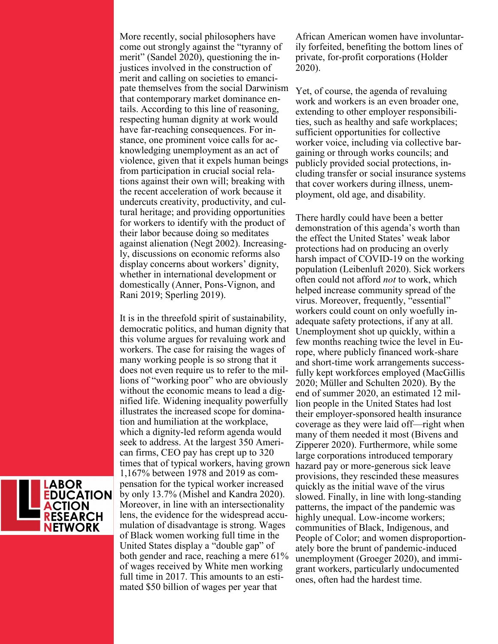More recently, social philosophers have come out strongly against the "tyranny of merit" (Sandel 2020), questioning the injustices involved in the construction of merit and calling on societies to emancipate themselves from the social Darwinism that contemporary market dominance entails. According to this line of reasoning, respecting human dignity at work would have far-reaching consequences. For instance, one prominent voice calls for acknowledging unemployment as an act of violence, given that it expels human beings from participation in crucial social relations against their own will; breaking with the recent acceleration of work because it undercuts creativity, productivity, and cultural heritage; and providing opportunities for workers to identify with the product of their labor because doing so meditates against alienation (Negt 2002). Increasingly, discussions on economic reforms also display concerns about workers' dignity, whether in international development or domestically (Anner, Pons-Vignon, and Rani 2019; Sperling 2019).

It is in the threefold spirit of sustainability, democratic politics, and human dignity that this volume argues for revaluing work and workers. The case for raising the wages of many working people is so strong that it does not even require us to refer to the millions of "working poor" who are obviously without the economic means to lead a dignified life. Widening inequality powerfully illustrates the increased scope for domination and humiliation at the workplace, which a dignity-led reform agenda would seek to address. At the largest 350 American firms, CEO pay has crept up to 320 times that of typical workers, having grown 1,167% between 1978 and 2019 as compensation for the typical worker increased by only 13.7% (Mishel and Kandra 2020). Moreover, in line with an intersectionality lens, the evidence for the widespread accumulation of disadvantage is strong. Wages of Black women working full time in the United States display a "double gap" of both gender and race, reaching a mere 61% of wages received by White men working full time in 2017. This amounts to an estimated \$50 billion of wages per year that

African American women have involuntarily forfeited, benefiting the bottom lines of private, for-profit corporations (Holder 2020).

Yet, of course, the agenda of revaluing work and workers is an even broader one, extending to other employer responsibilities, such as healthy and safe workplaces; sufficient opportunities for collective worker voice, including via collective bargaining or through works councils; and publicly provided social protections, including transfer or social insurance systems that cover workers during illness, unemployment, old age, and disability.

There hardly could have been a better demonstration of this agenda's worth than the effect the United States' weak labor protections had on producing an overly harsh impact of COVID-19 on the working population (Leibenluft 2020). Sick workers often could not afford *not* to work, which helped increase community spread of the virus. Moreover, frequently, "essential" workers could count on only woefully inadequate safety protections, if any at all. Unemployment shot up quickly, within a few months reaching twice the level in Europe, where publicly financed work-share and short-time work arrangements successfully kept workforces employed (MacGillis 2020; Müller and Schulten 2020). By the end of summer 2020, an estimated 12 million people in the United States had lost their employer-sponsored health insurance coverage as they were laid off—right when many of them needed it most (Bivens and Zipperer 2020). Furthermore, while some large corporations introduced temporary hazard pay or more-generous sick leave provisions, they rescinded these measures quickly as the initial wave of the virus slowed. Finally, in line with long-standing patterns, the impact of the pandemic was highly unequal. Low-income workers; communities of Black, Indigenous, and People of Color; and women disproportionately bore the brunt of pandemic-induced unemployment (Groeger 2020), and immigrant workers, particularly undocumented ones, often had the hardest time.

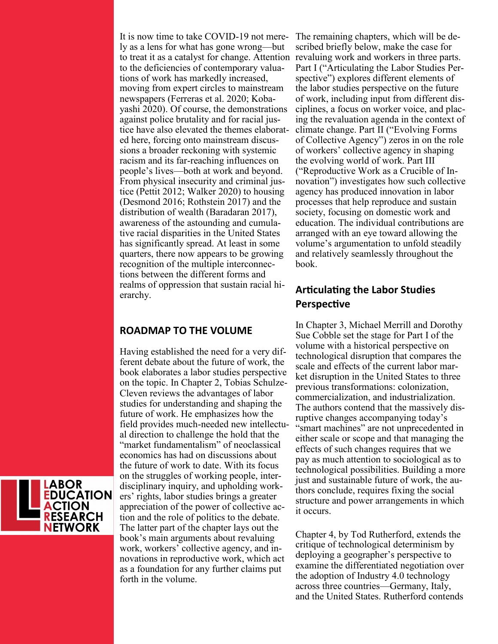It is now time to take COVID-19 not merely as a lens for what has gone wrong—but to the deficiencies of contemporary valuations of work has markedly increased, moving from expert circles to mainstream newspapers (Ferreras et al. 2020; Kobayashi 2020). Of course, the demonstrations against police brutality and for racial justice have also elevated the themes elaborated here, forcing onto mainstream discussions a broader reckoning with systemic racism and its far-reaching influences on people's lives—both at work and beyond. From physical insecurity and criminal justice (Pettit 2012; Walker 2020) to housing (Desmond 2016; Rothstein 2017) and the distribution of wealth (Baradaran 2017), awareness of the astounding and cumulative racial disparities in the United States has significantly spread. At least in some quarters, there now appears to be growing recognition of the multiple interconnections between the different forms and realms of oppression that sustain racial hierarchy.

#### **ROADMAP TO THE VOLUME**

Having established the need for a very different debate about the future of work, the book elaborates a labor studies perspective on the topic. In Chapter 2, Tobias Schulze-Cleven reviews the advantages of labor studies for understanding and shaping the future of work. He emphasizes how the field provides much-needed new intellectual direction to challenge the hold that the "market fundamentalism" of neoclassical economics has had on discussions about the future of work to date. With its focus on the struggles of working people, interdisciplinary inquiry, and upholding workers' rights, labor studies brings a greater appreciation of the power of collective action and the role of politics to the debate. The latter part of the chapter lays out the book's main arguments about revaluing work, workers' collective agency, and innovations in reproductive work, which act as a foundation for any further claims put forth in the volume.



#### **Articulating the Labor Studies Perspective**

In Chapter 3, Michael Merrill and Dorothy Sue Cobble set the stage for Part I of the volume with a historical perspective on technological disruption that compares the scale and effects of the current labor market disruption in the United States to three previous transformations: colonization, commercialization, and industrialization. The authors contend that the massively disruptive changes accompanying today's "smart machines" are not unprecedented in either scale or scope and that managing the effects of such changes requires that we pay as much attention to sociological as to technological possibilities. Building a more just and sustainable future of work, the authors conclude, requires fixing the social structure and power arrangements in which it occurs.

Chapter 4, by Tod Rutherford, extends the critique of technological determinism by deploying a geographer's perspective to examine the differentiated negotiation over the adoption of Industry 4.0 technology across three countries—Germany, Italy, and the United States. Rutherford contends

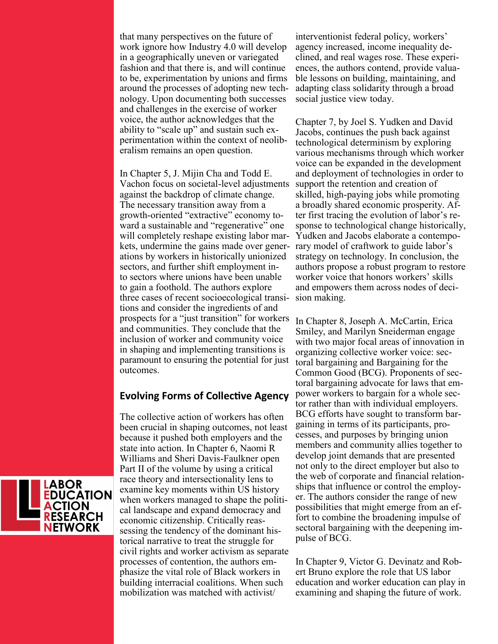that many perspectives on the future of work ignore how Industry 4.0 will develop in a geographically uneven or variegated fashion and that there is, and will continue to be, experimentation by unions and firms around the processes of adopting new technology. Upon documenting both successes and challenges in the exercise of worker voice, the author acknowledges that the ability to "scale up" and sustain such experimentation within the context of neoliberalism remains an open question.

In Chapter 5, J. Mijin Cha and Todd E. Vachon focus on societal-level adjustments against the backdrop of climate change. The necessary transition away from a growth-oriented "extractive" economy toward a sustainable and "regenerative" one will completely reshape existing labor markets, undermine the gains made over generations by workers in historically unionized sectors, and further shift employment into sectors where unions have been unable to gain a foothold. The authors explore three cases of recent socioecological transitions and consider the ingredients of and prospects for a "just transition" for workers and communities. They conclude that the inclusion of worker and community voice in shaping and implementing transitions is paramount to ensuring the potential for just outcomes.

#### **Evolving Forms of Collective Agency**

The collective action of workers has often been crucial in shaping outcomes, not least because it pushed both employers and the state into action. In Chapter 6, Naomi R Williams and Sheri Davis-Faulkner open Part II of the volume by using a critical race theory and intersectionality lens to examine key moments within US history when workers managed to shape the political landscape and expand democracy and economic citizenship. Critically reassessing the tendency of the dominant historical narrative to treat the struggle for civil rights and worker activism as separate processes of contention, the authors emphasize the vital role of Black workers in building interracial coalitions. When such mobilization was matched with activist/

interventionist federal policy, workers' agency increased, income inequality declined, and real wages rose. These experiences, the authors contend, provide valuable lessons on building, maintaining, and adapting class solidarity through a broad social justice view today.

Chapter 7, by Joel S. Yudken and David Jacobs, continues the push back against technological determinism by exploring various mechanisms through which worker voice can be expanded in the development and deployment of technologies in order to support the retention and creation of skilled, high-paying jobs while promoting a broadly shared economic prosperity. After first tracing the evolution of labor's response to technological change historically, Yudken and Jacobs elaborate a contemporary model of craftwork to guide labor's strategy on technology. In conclusion, the authors propose a robust program to restore worker voice that honors workers' skills and empowers them across nodes of decision making.

In Chapter 8, Joseph A. McCartin, Erica Smiley, and Marilyn Sneiderman engage with two major focal areas of innovation in organizing collective worker voice: sectoral bargaining and Bargaining for the Common Good (BCG). Proponents of sectoral bargaining advocate for laws that empower workers to bargain for a whole sector rather than with individual employers. BCG efforts have sought to transform bargaining in terms of its participants, processes, and purposes by bringing union members and community allies together to develop joint demands that are presented not only to the direct employer but also to the web of corporate and financial relationships that influence or control the employer. The authors consider the range of new possibilities that might emerge from an effort to combine the broadening impulse of sectoral bargaining with the deepening impulse of BCG.

In Chapter 9, Victor G. Devinatz and Robert Bruno explore the role that US labor education and worker education can play in examining and shaping the future of work.

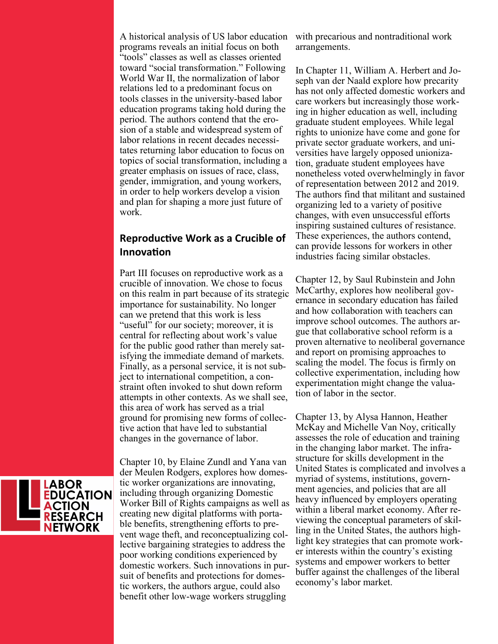A historical analysis of US labor education programs reveals an initial focus on both "tools" classes as well as classes oriented toward "social transformation." Following World War II, the normalization of labor relations led to a predominant focus on tools classes in the university-based labor education programs taking hold during the period. The authors contend that the erosion of a stable and widespread system of labor relations in recent decades necessitates returning labor education to focus on topics of social transformation, including a greater emphasis on issues of race, class, gender, immigration, and young workers, in order to help workers develop a vision and plan for shaping a more just future of work.

#### **Reproductive Work as a Crucible of Innovation**

Part III focuses on reproductive work as a crucible of innovation. We chose to focus on this realm in part because of its strategic importance for sustainability. No longer can we pretend that this work is less "useful" for our society; moreover, it is central for reflecting about work's value for the public good rather than merely satisfying the immediate demand of markets. Finally, as a personal service, it is not subject to international competition, a constraint often invoked to shut down reform attempts in other contexts. As we shall see, this area of work has served as a trial ground for promising new forms of collective action that have led to substantial changes in the governance of labor.



Chapter 10, by Elaine Zundl and Yana van der Meulen Rodgers, explores how domestic worker organizations are innovating, including through organizing Domestic Worker Bill of Rights campaigns as well as creating new digital platforms with portable benefits, strengthening efforts to prevent wage theft, and reconceptualizing collective bargaining strategies to address the poor working conditions experienced by domestic workers. Such innovations in pursuit of benefits and protections for domestic workers, the authors argue, could also benefit other low-wage workers struggling

with precarious and nontraditional work arrangements.

In Chapter 11, William A. Herbert and Joseph van der Naald explore how precarity has not only affected domestic workers and care workers but increasingly those working in higher education as well, including graduate student employees. While legal rights to unionize have come and gone for private sector graduate workers, and universities have largely opposed unionization, graduate student employees have nonetheless voted overwhelmingly in favor of representation between 2012 and 2019. The authors find that militant and sustained organizing led to a variety of positive changes, with even unsuccessful efforts inspiring sustained cultures of resistance. These experiences, the authors contend, can provide lessons for workers in other industries facing similar obstacles.

Chapter 12, by Saul Rubinstein and John McCarthy, explores how neoliberal governance in secondary education has failed and how collaboration with teachers can improve school outcomes. The authors argue that collaborative school reform is a proven alternative to neoliberal governance and report on promising approaches to scaling the model. The focus is firmly on collective experimentation, including how experimentation might change the valuation of labor in the sector.

Chapter 13, by Alysa Hannon, Heather McKay and Michelle Van Noy, critically assesses the role of education and training in the changing labor market. The infrastructure for skills development in the United States is complicated and involves a myriad of systems, institutions, government agencies, and policies that are all heavy influenced by employers operating within a liberal market economy. After reviewing the conceptual parameters of skilling in the United States, the authors highlight key strategies that can promote worker interests within the country's existing systems and empower workers to better buffer against the challenges of the liberal economy's labor market.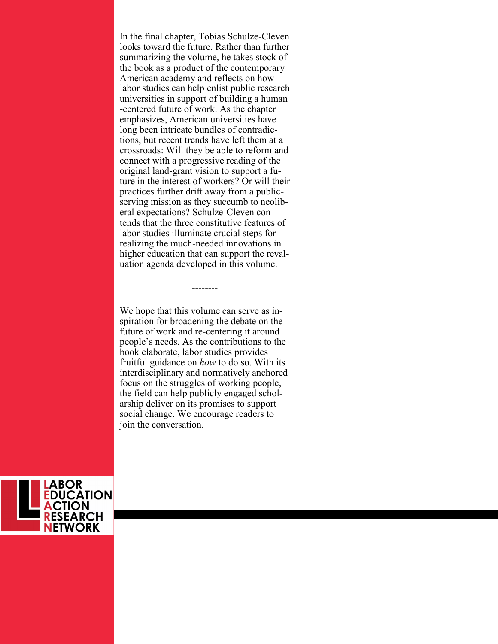In the final chapter, Tobias Schulze-Cleven looks toward the future. Rather than further summarizing the volume, he takes stock of the book as a product of the contemporary American academy and reflects on how labor studies can help enlist public research universities in support of building a human -centered future of work. As the chapter emphasizes, American universities have long been intricate bundles of contradictions, but recent trends have left them at a crossroads: Will they be able to reform and connect with a progressive reading of the original land-grant vision to support a future in the interest of workers? Or will their practices further drift away from a publicserving mission as they succumb to neoliberal expectations? Schulze-Cleven contends that the three constitutive features of labor studies illuminate crucial steps for realizing the much-needed innovations in higher education that can support the revaluation agenda developed in this volume.

We hope that this volume can serve as inspiration for broadening the debate on the future of work and re-centering it around people's needs. As the contributions to the book elaborate, labor studies provides fruitful guidance on *how* to do so. With its interdisciplinary and normatively anchored focus on the struggles of working people, the field can help publicly engaged scholarship deliver on its promises to support social change. We encourage readers to join the conversation.

--------

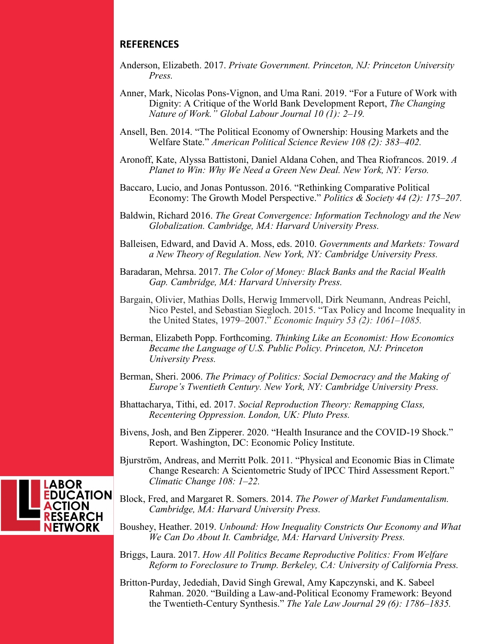#### **REFERENCES**

- Anderson, Elizabeth. 2017. *Private Government. Princeton, NJ: Princeton University Press.*
- Anner, Mark, Nicolas Pons-Vignon, and Uma Rani. 2019. "For a Future of Work with Dignity: A Critique of the World Bank Development Report, *The Changing Nature of Work." Global Labour Journal 10 (1): 2–19.*
- Ansell, Ben. 2014. "The Political Economy of Ownership: Housing Markets and the Welfare State." *American Political Science Review 108 (2): 383–402.*
- Aronoff, Kate, Alyssa Battistoni, Daniel Aldana Cohen, and Thea Riofrancos. 2019. *A Planet to Win: Why We Need a Green New Deal. New York, NY: Verso.*
- Baccaro, Lucio, and Jonas Pontusson. 2016. "Rethinking Comparative Political Economy: The Growth Model Perspective." *Politics & Society 44 (2): 175–207.*
- Baldwin, Richard 2016. *The Great Convergence: Information Technology and the New Globalization. Cambridge, MA: Harvard University Press.*
- Balleisen, Edward, and David A. Moss, eds. 2010. *Governments and Markets: Toward a New Theory of Regulation. New York, NY: Cambridge University Press.*
- Baradaran, Mehrsa. 2017. *The Color of Money: Black Banks and the Racial Wealth Gap. Cambridge, MA: Harvard University Press.*
- Bargain, Olivier, Mathias Dolls, Herwig Immervoll, Dirk Neumann, Andreas Peichl, Nico Pestel, and Sebastian Siegloch. 2015. "Tax Policy and Income Inequality in the United States, 1979–2007." *Economic Inquiry 53 (2): 1061–1085.*
- Berman, Elizabeth Popp. Forthcoming. *Thinking Like an Economist: How Economics Became the Language of U.S. Public Policy. Princeton, NJ: Princeton University Press.*
- Berman, Sheri. 2006. *The Primacy of Politics: Social Democracy and the Making of Europe's Twentieth Century. New York, NY: Cambridge University Press.*
- Bhattacharya, Tithi, ed. 2017. *Social Reproduction Theory: Remapping Class, Recentering Oppression. London, UK: Pluto Press.*
- Bivens, Josh, and Ben Zipperer. 2020. "Health Insurance and the COVID-19 Shock." Report. Washington, DC: Economic Policy Institute.
- Bjurström, Andreas, and Merritt Polk. 2011. "Physical and Economic Bias in Climate Change Research: A Scientometric Study of IPCC Third Assessment Report." *Climatic Change 108: 1–22.*
- Block, Fred, and Margaret R. Somers. 2014. *The Power of Market Fundamentalism. Cambridge, MA: Harvard University Press.*
- Boushey, Heather. 2019. *Unbound: How Inequality Constricts Our Economy and What We Can Do About It. Cambridge, MA: Harvard University Press.*
- Briggs, Laura. 2017. *How All Politics Became Reproductive Politics: From Welfare Reform to Foreclosure to Trump. Berkeley, CA: University of California Press.*
- Britton-Purday, Jedediah, David Singh Grewal, Amy Kapczynski, and K. Sabeel Rahman. 2020. "Building a Law-and-Political Economy Framework: Beyond the Twentieth-Century Synthesis." *The Yale Law Journal 29 (6): 1786–1835.*

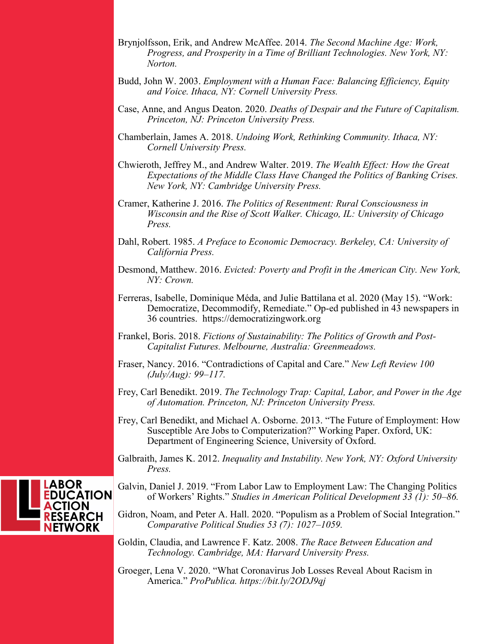- Brynjolfsson, Erik, and Andrew McAffee. 2014. *The Second Machine Age: Work, Progress, and Prosperity in a Time of Brilliant Technologies. New York, NY: Norton.*
- Budd, John W. 2003. *Employment with a Human Face: Balancing Efficiency, Equity and Voice. Ithaca, NY: Cornell University Press.*
- Case, Anne, and Angus Deaton. 2020. *Deaths of Despair and the Future of Capitalism. Princeton, NJ: Princeton University Press.*
- Chamberlain, James A. 2018. *Undoing Work, Rethinking Community. Ithaca, NY: Cornell University Press.*
- Chwieroth, Jeffrey M., and Andrew Walter. 2019. *The Wealth Effect: How the Great Expectations of the Middle Class Have Changed the Politics of Banking Crises. New York, NY: Cambridge University Press.*
- Cramer, Katherine J. 2016. *The Politics of Resentment: Rural Consciousness in Wisconsin and the Rise of Scott Walker. Chicago, IL: University of Chicago Press.*
- Dahl, Robert. 1985. *A Preface to Economic Democracy. Berkeley, CA: University of California Press.*
- Desmond, Matthew. 2016. *Evicted: Poverty and Profit in the American City. New York, NY: Crown.*
- Ferreras, Isabelle, Dominique Méda, and Julie Battilana et al. 2020 (May 15). "Work: Democratize, Decommodify, Remediate." Op-ed published in 43 newspapers in 36 countries. https://democratizingwork.org
- Frankel, Boris. 2018. *Fictions of Sustainability: The Politics of Growth and Post-Capitalist Futures. Melbourne, Australia: Greenmeadows.*
- Fraser, Nancy. 2016. "Contradictions of Capital and Care." *New Left Review 100 (July/Aug): 99–117.*
- Frey, Carl Benedikt. 2019. *The Technology Trap: Capital, Labor, and Power in the Age of Automation. Princeton, NJ: Princeton University Press.*
- Frey, Carl Benedikt, and Michael A. Osborne. 2013. "The Future of Employment: How Susceptible Are Jobs to Computerization?" Working Paper. Oxford, UK: Department of Engineering Science, University of Oxford.
- Galbraith, James K. 2012. *Inequality and Instability. New York, NY: Oxford University Press.*



- Galvin, Daniel J. 2019. "From Labor Law to Employment Law: The Changing Politics of Workers' Rights." *Studies in American Political Development 33 (1): 50–86.*
- Gidron, Noam, and Peter A. Hall. 2020. "Populism as a Problem of Social Integration." *Comparative Political Studies 53 (7): 1027–1059.*
- Goldin, Claudia, and Lawrence F. Katz. 2008. *The Race Between Education and Technology. Cambridge, MA: Harvard University Press.*
- Groeger, Lena V. 2020. "What Coronavirus Job Losses Reveal About Racism in America." *ProPublica. https://bit.ly/2ODJ9qj*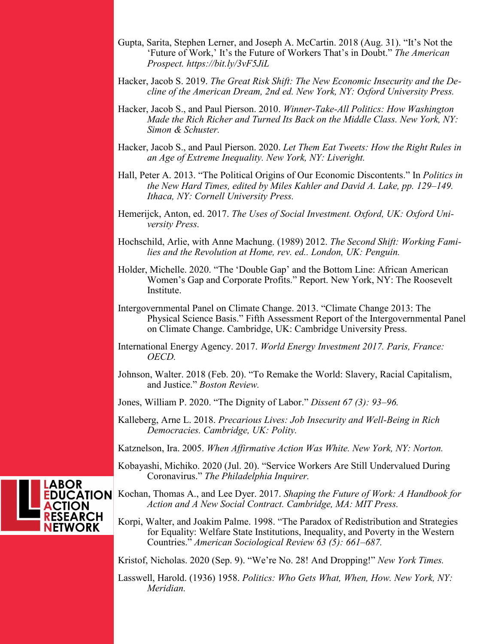- Gupta, Sarita, Stephen Lerner, and Joseph A. McCartin. 2018 (Aug. 31). "It's Not the 'Future of Work,' It's the Future of Workers That's in Doubt." *The American Prospect. https://bit.ly/3vF5JiL*
- Hacker, Jacob S. 2019. *The Great Risk Shift: The New Economic Insecurity and the Decline of the American Dream, 2nd ed. New York, NY: Oxford University Press.*
- Hacker, Jacob S., and Paul Pierson. 2010. *Winner-Take-All Politics: How Washington Made the Rich Richer and Turned Its Back on the Middle Class. New York, NY: Simon & Schuster.*
- Hacker, Jacob S., and Paul Pierson. 2020. *Let Them Eat Tweets: How the Right Rules in an Age of Extreme Inequality. New York, NY: Liveright.*
- Hall, Peter A. 2013. "The Political Origins of Our Economic Discontents." In *Politics in the New Hard Times, edited by Miles Kahler and David A. Lake, pp. 129–149. Ithaca, NY: Cornell University Press.*
- Hemerijck, Anton, ed. 2017. *The Uses of Social Investment. Oxford, UK: Oxford University Press.*
- Hochschild, Arlie, with Anne Machung. (1989) 2012. *The Second Shift: Working Families and the Revolution at Home, rev. ed.. London, UK: Penguin.*
- Holder, Michelle. 2020. "The 'Double Gap' and the Bottom Line: African American Women's Gap and Corporate Profits." Report. New York, NY: The Roosevelt Institute.
- Intergovernmental Panel on Climate Change. 2013. "Climate Change 2013: The Physical Science Basis." Fifth Assessment Report of the Intergovernmental Panel on Climate Change. Cambridge, UK: Cambridge University Press.
- International Energy Agency. 2017. *World Energy Investment 2017. Paris, France: OECD.*
- Johnson, Walter. 2018 (Feb. 20). "To Remake the World: Slavery, Racial Capitalism, and Justice." *Boston Review.*
- Jones, William P. 2020. "The Dignity of Labor." *Dissent 67 (3): 93–96.*
- Kalleberg, Arne L. 2018. *Precarious Lives: Job Insecurity and Well-Being in Rich Democracies. Cambridge, UK: Polity.*

Katznelson, Ira. 2005. *When Affirmative Action Was White. New York, NY: Norton.*

- Kobayashi, Michiko. 2020 (Jul. 20). "Service Workers Are Still Undervalued During Coronavirus." *The Philadelphia Inquirer.*
- EDUCATION Kochan, Thomas A., and Lee Dyer. 2017. *Shaping the Future of Work: A Handbook for Action and A New Social Contract. Cambridge, MA: MIT Press.*
	- Korpi, Walter, and Joakim Palme. 1998. "The Paradox of Redistribution and Strategies for Equality: Welfare State Institutions, Inequality, and Poverty in the Western Countries." *American Sociological Review 63 (5): 661–687.*

Kristof, Nicholas. 2020 (Sep. 9). "We're No. 28! And Dropping!" *New York Times.*

Lasswell, Harold. (1936) 1958. *Politics: Who Gets What, When, How. New York, NY: Meridian.*

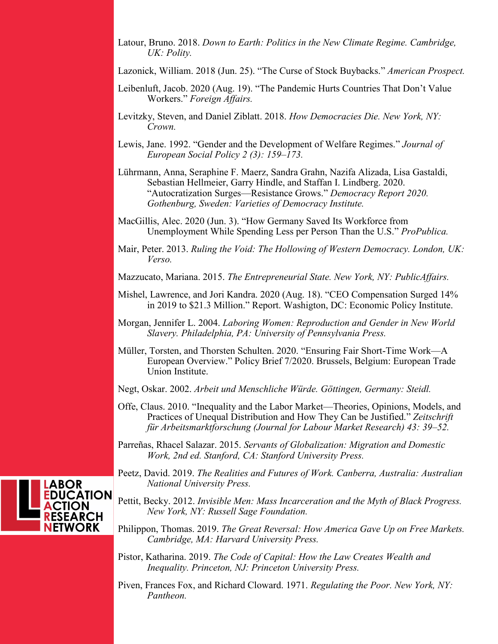- Latour, Bruno. 2018. *Down to Earth: Politics in the New Climate Regime. Cambridge, UK: Polity.*
- Lazonick, William. 2018 (Jun. 25). "The Curse of Stock Buybacks." *American Prospect.*
- Leibenluft, Jacob. 2020 (Aug. 19). "The Pandemic Hurts Countries That Don't Value Workers." *Foreign Affairs.*
- Levitzky, Steven, and Daniel Ziblatt. 2018. *How Democracies Die. New York, NY: Crown.*
- Lewis, Jane. 1992. "Gender and the Development of Welfare Regimes." *Journal of European Social Policy 2 (3): 159–173.*
- Lührmann, Anna, Seraphine F. Maerz, Sandra Grahn, Nazifa Alizada, Lisa Gastaldi, Sebastian Hellmeier, Garry Hindle, and Staffan I. Lindberg. 2020. "Autocratization Surges—Resistance Grows." *Democracy Report 2020. Gothenburg, Sweden: Varieties of Democracy Institute.*
- MacGillis, Alec. 2020 (Jun. 3). "How Germany Saved Its Workforce from Unemployment While Spending Less per Person Than the U.S." *ProPublica.*
- Mair, Peter. 2013. *Ruling the Void: The Hollowing of Western Democracy. London, UK: Verso.*
- Mazzucato, Mariana. 2015. *The Entrepreneurial State. New York, NY: PublicAffairs.*
- Mishel, Lawrence, and Jori Kandra. 2020 (Aug. 18). "CEO Compensation Surged 14% in 2019 to \$21.3 Million." Report. Washigton, DC: Economic Policy Institute.
- Morgan, Jennifer L. 2004. *Laboring Women: Reproduction and Gender in New World Slavery. Philadelphia, PA: University of Pennsylvania Press.*
- Müller, Torsten, and Thorsten Schulten. 2020. "Ensuring Fair Short-Time Work—A European Overview." Policy Brief 7/2020. Brussels, Belgium: European Trade Union Institute.
- Negt, Oskar. 2002. *Arbeit und Menschliche Würde. Göttingen, Germany: Steidl.*
- Offe, Claus. 2010. "Inequality and the Labor Market—Theories, Opinions, Models, and Practices of Unequal Distribution and How They Can be Justified." *Zeitschrift für Arbeitsmarktforschung (Journal for Labour Market Research) 43: 39–52.*
- Parreñas, Rhacel Salazar. 2015. *Servants of Globalization: Migration and Domestic Work, 2nd ed. Stanford, CA: Stanford University Press.*
- Peetz, David. 2019. *The Realities and Futures of Work. Canberra, Australia: Australian National University Press.*
- Pettit, Becky. 2012. *Invisible Men: Mass Incarceration and the Myth of Black Progress. New York, NY: Russell Sage Foundation.*
- Philippon, Thomas. 2019. *The Great Reversal: How America Gave Up on Free Markets. Cambridge, MA: Harvard University Press.*
- Pistor, Katharina. 2019. *The Code of Capital: How the Law Creates Wealth and Inequality. Princeton, NJ: Princeton University Press.*
- Piven, Frances Fox, and Richard Cloward. 1971. *Regulating the Poor. New York, NY: Pantheon.*

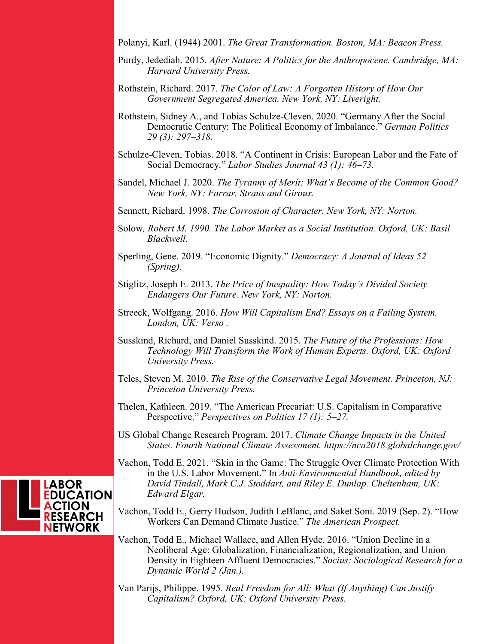Polanyi, Karl. (1944) 2001. *The Great Transformation. Boston, MA: Beacon Press.*

- Purdy, Jedediah. 2015. *After Nature: A Politics for the Anthropocene. Cambridge, MA: Harvard University Press.*
- Rothstein, Richard. 2017. *The Color of Law: A Forgotten History of How Our Government Segregated America. New York, NY: Liveright.*
- Rothstein, Sidney A., and Tobias Schulze-Cleven. 2020. "Germany After the Social Democratic Century: The Political Economy of Imbalance." *German Politics 29 (3): 297–318.*
- Schulze-Cleven, Tobias. 2018. "A Continent in Crisis: European Labor and the Fate of Social Democracy." *Labor Studies Journal 43 (1): 46–73.*
- Sandel, Michael J. 2020. *The Tyranny of Merit: What's Become of the Common Good? New York, NY: Farrar, Straus and Giroux.*
- Sennett, Richard. 1998. *The Corrosion of Character. New York, NY: Norton.*
- Solow*, Robert M. 1990. The Labor Market as a Social Institution. Oxford, UK: Basil Blackwell.*
- Sperling, Gene. 2019. "Economic Dignity." *Democracy: A Journal of Ideas 52 (Spring).*
- Stiglitz, Joseph E. 2013. *The Price of Inequality: How Today's Divided Society Endangers Our Future. New York, NY: Norton.*
- Streeck, Wolfgang. 2016. *How Will Capitalism End? Essays on a Failing System. London, UK: Verso .*
- Susskind, Richard, and Daniel Susskind. 2015. *The Future of the Professions: How Technology Will Transform the Work of Human Experts. Oxford, UK: Oxford University Press.*
- Teles, Steven M. 2010. *The Rise of the Conservative Legal Movement. Princeton, NJ: Princeton University Press.*
- Thelen, Kathleen. 2019. "The American Precariat: U.S. Capitalism in Comparative Perspective." *Perspectives on Politics 17 (1): 5–27.*
- US Global Change Research Program. 2017. *Climate Change Impacts in the United States. Fourth National Climate Assessment. https://nca2018.globalchange.gov/*
- Vachon, Todd E. 2021. "Skin in the Game: The Struggle Over Climate Protection With in the U.S. Labor Movement." In *Anti-Environmental Handbook, edited by David Tindall, Mark C.J. Stoddart, and Riley E. Dunlap. Cheltenham, UK: Edward Elgar.*
- Vachon, Todd E., Gerry Hudson, Judith LeBlanc, and Saket Soni. 2019 (Sep. 2). "How Workers Can Demand Climate Justice." *The American Prospect.*
- Vachon, Todd E., Michael Wallace, and Allen Hyde. 2016. "Union Decline in a Neoliberal Age: Globalization, Financialization, Regionalization, and Union Density in Eighteen Affluent Democracies." *Socius: Sociological Research for a Dynamic World 2 (Jan.).*
- Van Parijs, Philippe. 1995. *Real Freedom for All: What (If Anything) Can Justify Capitalism? Oxford, UK: Oxford University Press.*